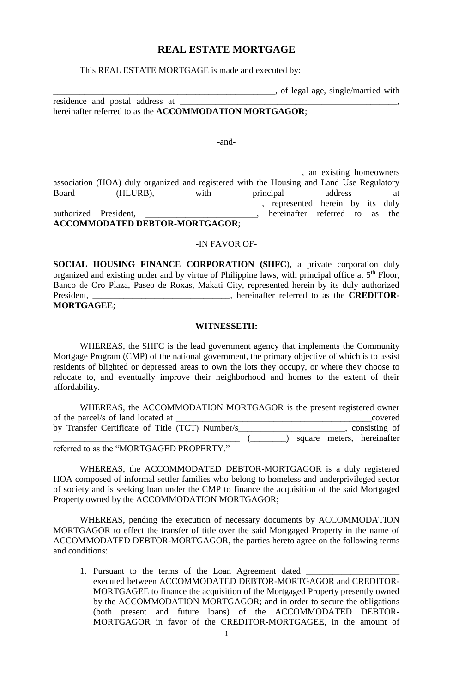## **REAL ESTATE MORTGAGE**

This REAL ESTATE MORTGAGE is made and executed by:

\_\_\_\_\_\_\_\_\_\_\_\_\_\_\_\_\_\_\_\_\_\_\_\_\_\_\_\_\_\_\_\_\_\_\_\_\_\_\_\_\_\_\_\_\_\_\_\_\_\_, of legal age, single/married with

residence and postal address at \_ hereinafter referred to as the **ACCOMMODATION MORTGAGOR**;

-and-

 $\Box$ , an existing homeowners association (HOA) duly organized and registered with the Housing and Land Use Regulatory Board (HLURB), with principal address at \_\_\_\_\_\_\_\_\_\_\_\_\_\_\_\_\_\_\_\_\_\_\_\_\_\_\_\_\_\_\_\_\_\_\_\_\_\_\_\_\_\_\_\_\_\_\_, represented herein by its duly authorized President, \_\_\_\_\_\_\_\_\_\_\_\_\_\_\_\_\_\_\_\_\_\_\_\_\_, hereinafter referred to as the **ACCOMMODATED DEBTOR-MORTGAGOR**;

#### -IN FAVOR OF-

**SOCIAL HOUSING FINANCE CORPORATION (SHFC**), a private corporation duly organized and existing under and by virtue of Philippine laws, with principal office at 5<sup>th</sup> Floor, Banco de Oro Plaza, Paseo de Roxas, Makati City, represented herein by its duly authorized President, \_\_\_\_\_\_\_\_\_\_\_\_\_\_\_\_\_\_\_\_\_\_\_\_\_\_\_, hereinafter referred to as the **CREDITOR-MORTGAGEE**;

#### **WITNESSETH:**

WHEREAS, the SHFC is the lead government agency that implements the Community Mortgage Program (CMP) of the national government, the primary objective of which is to assist residents of blighted or depressed areas to own the lots they occupy, or where they choose to relocate to, and eventually improve their neighborhood and homes to the extent of their affordability.

| WHEREAS, the ACCOMMODATION MORTGAGOR is the present registered owner |                            |
|----------------------------------------------------------------------|----------------------------|
| of the parcel/s of land located at                                   | covered                    |
| by Transfer Certificate of Title (TCT) Number/s                      | consisting of              |
|                                                                      | square meters, hereinafter |
| $\alpha$ (a (O DEC) CER BROBERTY $\alpha$                            |                            |

referred to as the "MORTGAGED PROPERTY."

WHEREAS, the ACCOMMODATED DEBTOR-MORTGAGOR is a duly registered HOA composed of informal settler families who belong to homeless and underprivileged sector of society and is seeking loan under the CMP to finance the acquisition of the said Mortgaged Property owned by the ACCOMMODATION MORTGAGOR;

WHEREAS, pending the execution of necessary documents by ACCOMMODATION MORTGAGOR to effect the transfer of title over the said Mortgaged Property in the name of ACCOMMODATED DEBTOR-MORTGAGOR, the parties hereto agree on the following terms and conditions:

1. Pursuant to the terms of the Loan Agreement dated executed between ACCOMMODATED DEBTOR-MORTGAGOR and CREDITOR-MORTGAGEE to finance the acquisition of the Mortgaged Property presently owned by the ACCOMMODATION MORTGAGOR; and in order to secure the obligations (both present and future loans) of the ACCOMMODATED DEBTOR-MORTGAGOR in favor of the CREDITOR-MORTGAGEE, in the amount of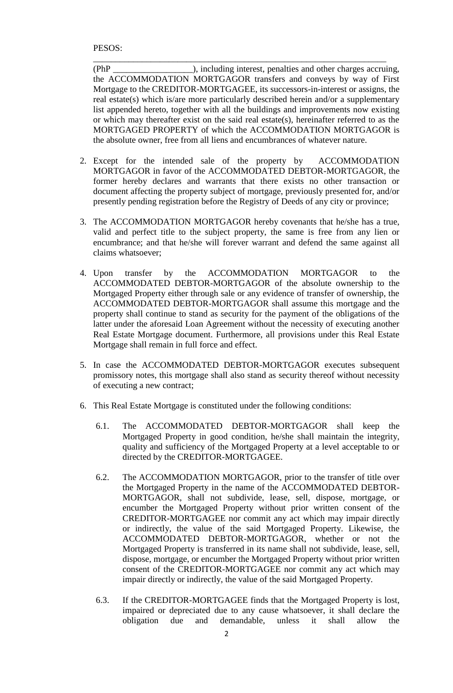(PhP \_\_\_\_\_\_\_\_\_\_\_\_\_\_\_\_\_\_), including interest, penalties and other charges accruing, the ACCOMMODATION MORTGAGOR transfers and conveys by way of First Mortgage to the CREDITOR-MORTGAGEE, its successors-in-interest or assigns, the real estate(s) which is/are more particularly described herein and/or a supplementary list appended hereto, together with all the buildings and improvements now existing or which may thereafter exist on the said real estate(s), hereinafter referred to as the MORTGAGED PROPERTY of which the ACCOMMODATION MORTGAGOR is the absolute owner, free from all liens and encumbrances of whatever nature.

\_\_\_\_\_\_\_\_\_\_\_\_\_\_\_\_\_\_\_\_\_\_\_\_\_\_\_\_\_\_\_\_\_\_\_\_\_\_\_\_\_\_\_\_\_\_\_\_\_\_\_\_\_\_\_\_\_\_\_\_\_\_\_\_\_\_

- 2. Except for the intended sale of the property by ACCOMMODATION MORTGAGOR in favor of the ACCOMMODATED DEBTOR-MORTGAGOR, the former hereby declares and warrants that there exists no other transaction or document affecting the property subject of mortgage, previously presented for, and/or presently pending registration before the Registry of Deeds of any city or province;
- 3. The ACCOMMODATION MORTGAGOR hereby covenants that he/she has a true, valid and perfect title to the subject property, the same is free from any lien or encumbrance; and that he/she will forever warrant and defend the same against all claims whatsoever;
- 4. Upon transfer by the ACCOMMODATION MORTGAGOR to the ACCOMMODATED DEBTOR-MORTGAGOR of the absolute ownership to the Mortgaged Property either through sale or any evidence of transfer of ownership, the ACCOMMODATED DEBTOR-MORTGAGOR shall assume this mortgage and the property shall continue to stand as security for the payment of the obligations of the latter under the aforesaid Loan Agreement without the necessity of executing another Real Estate Mortgage document. Furthermore, all provisions under this Real Estate Mortgage shall remain in full force and effect.
- 5. In case the ACCOMMODATED DEBTOR-MORTGAGOR executes subsequent promissory notes, this mortgage shall also stand as security thereof without necessity of executing a new contract;
- 6. This Real Estate Mortgage is constituted under the following conditions:
	- 6.1. The ACCOMMODATED DEBTOR-MORTGAGOR shall keep the Mortgaged Property in good condition, he/she shall maintain the integrity, quality and sufficiency of the Mortgaged Property at a level acceptable to or directed by the CREDITOR-MORTGAGEE.
	- 6.2. The ACCOMMODATION MORTGAGOR, prior to the transfer of title over the Mortgaged Property in the name of the ACCOMMODATED DEBTOR-MORTGAGOR, shall not subdivide, lease, sell, dispose, mortgage, or encumber the Mortgaged Property without prior written consent of the CREDITOR-MORTGAGEE nor commit any act which may impair directly or indirectly, the value of the said Mortgaged Property. Likewise, the ACCOMMODATED DEBTOR-MORTGAGOR, whether or not the Mortgaged Property is transferred in its name shall not subdivide, lease, sell, dispose, mortgage, or encumber the Mortgaged Property without prior written consent of the CREDITOR-MORTGAGEE nor commit any act which may impair directly or indirectly, the value of the said Mortgaged Property.
	- 6.3. If the CREDITOR-MORTGAGEE finds that the Mortgaged Property is lost, impaired or depreciated due to any cause whatsoever, it shall declare the obligation due and demandable, unless it shall allow the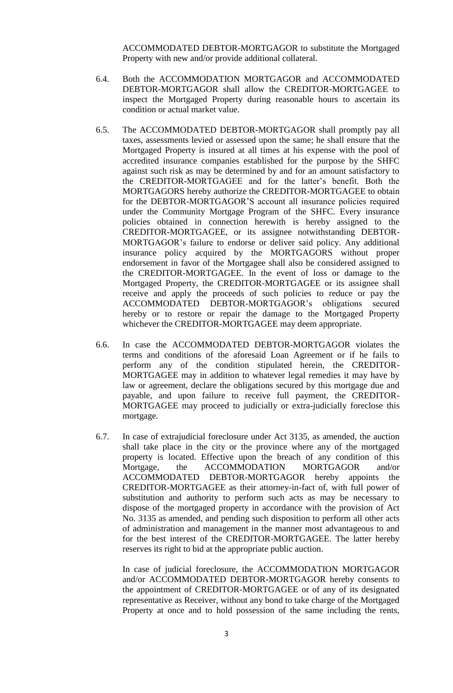ACCOMMODATED DEBTOR-MORTGAGOR to substitute the Mortgaged Property with new and/or provide additional collateral.

- 6.4. Both the ACCOMMODATION MORTGAGOR and ACCOMMODATED DEBTOR-MORTGAGOR shall allow the CREDITOR-MORTGAGEE to inspect the Mortgaged Property during reasonable hours to ascertain its condition or actual market value.
- 6.5. The ACCOMMODATED DEBTOR-MORTGAGOR shall promptly pay all taxes, assessments levied or assessed upon the same; he shall ensure that the Mortgaged Property is insured at all times at his expense with the pool of accredited insurance companies established for the purpose by the SHFC against such risk as may be determined by and for an amount satisfactory to the CREDITOR-MORTGAGEE and for the latter's benefit. Both the MORTGAGORS hereby authorize the CREDITOR-MORTGAGEE to obtain for the DEBTOR-MORTGAGOR'S account all insurance policies required under the Community Mortgage Program of the SHFC. Every insurance policies obtained in connection herewith is hereby assigned to the CREDITOR-MORTGAGEE, or its assignee notwithstanding DEBTOR-MORTGAGOR's failure to endorse or deliver said policy. Any additional insurance policy acquired by the MORTGAGORS without proper endorsement in favor of the Mortgagee shall also be considered assigned to the CREDITOR-MORTGAGEE. In the event of loss or damage to the Mortgaged Property, the CREDITOR-MORTGAGEE or its assignee shall receive and apply the proceeds of such policies to reduce or pay the ACCOMMODATED DEBTOR-MORTGAGOR's obligations secured hereby or to restore or repair the damage to the Mortgaged Property whichever the CREDITOR-MORTGAGEE may deem appropriate.
- 6.6. In case the ACCOMMODATED DEBTOR-MORTGAGOR violates the terms and conditions of the aforesaid Loan Agreement or if he fails to perform any of the condition stipulated herein, the CREDITOR-MORTGAGEE may in addition to whatever legal remedies it may have by law or agreement, declare the obligations secured by this mortgage due and payable, and upon failure to receive full payment, the CREDITOR-MORTGAGEE may proceed to judicially or extra-judicially foreclose this mortgage.
- 6.7. In case of extrajudicial foreclosure under Act 3135, as amended, the auction shall take place in the city or the province where any of the mortgaged property is located. Effective upon the breach of any condition of this Mortgage, the ACCOMMODATION MORTGAGOR and/or ACCOMMODATED DEBTOR-MORTGAGOR hereby appoints the CREDITOR-MORTGAGEE as their attorney-in-fact of, with full power of substitution and authority to perform such acts as may be necessary to dispose of the mortgaged property in accordance with the provision of Act No. 3135 as amended, and pending such disposition to perform all other acts of administration and management in the manner most advantageous to and for the best interest of the CREDITOR-MORTGAGEE. The latter hereby reserves its right to bid at the appropriate public auction.

In case of judicial foreclosure, the ACCOMMODATION MORTGAGOR and/or ACCOMMODATED DEBTOR-MORTGAGOR hereby consents to the appointment of CREDITOR-MORTGAGEE or of any of its designated representative as Receiver, without any bond to take charge of the Mortgaged Property at once and to hold possession of the same including the rents,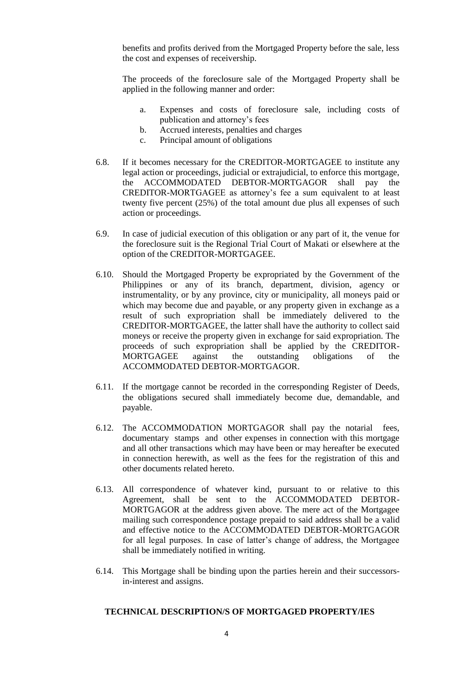benefits and profits derived from the Mortgaged Property before the sale, less the cost and expenses of receivership.

The proceeds of the foreclosure sale of the Mortgaged Property shall be applied in the following manner and order:

- a. Expenses and costs of foreclosure sale, including costs of publication and attorney's fees
- b. Accrued interests, penalties and charges
- c. Principal amount of obligations
- 6.8. If it becomes necessary for the CREDITOR-MORTGAGEE to institute any legal action or proceedings, judicial or extrajudicial, to enforce this mortgage, the ACCOMMODATED DEBTOR-MORTGAGOR shall pay the CREDITOR-MORTGAGEE as attorney's fee a sum equivalent to at least twenty five percent (25%) of the total amount due plus all expenses of such action or proceedings.
- 6.9. In case of judicial execution of this obligation or any part of it, the venue for the foreclosure suit is the Regional Trial Court of Makati or elsewhere at the option of the CREDITOR-MORTGAGEE.
- 6.10. Should the Mortgaged Property be expropriated by the Government of the Philippines or any of its branch, department, division, agency or instrumentality, or by any province, city or municipality, all moneys paid or which may become due and payable, or any property given in exchange as a result of such expropriation shall be immediately delivered to the CREDITOR-MORTGAGEE, the latter shall have the authority to collect said moneys or receive the property given in exchange for said expropriation. The proceeds of such expropriation shall be applied by the CREDITOR-MORTGAGEE against the outstanding obligations of the ACCOMMODATED DEBTOR-MORTGAGOR.
- 6.11. If the mortgage cannot be recorded in the corresponding Register of Deeds, the obligations secured shall immediately become due, demandable, and payable.
- 6.12. The ACCOMMODATION MORTGAGOR shall pay the notarial fees, documentary stamps and other expenses in connection with this mortgage and all other transactions which may have been or may hereafter be executed in connection herewith, as well as the fees for the registration of this and other documents related hereto.
- 6.13. All correspondence of whatever kind, pursuant to or relative to this Agreement, shall be sent to the ACCOMMODATED DEBTOR-MORTGAGOR at the address given above. The mere act of the Mortgagee mailing such correspondence postage prepaid to said address shall be a valid and effective notice to the ACCOMMODATED DEBTOR-MORTGAGOR for all legal purposes. In case of latter's change of address, the Mortgagee shall be immediately notified in writing.
- 6.14. This Mortgage shall be binding upon the parties herein and their successorsin-interest and assigns.

#### **TECHNICAL DESCRIPTION/S OF MORTGAGED PROPERTY/IES**